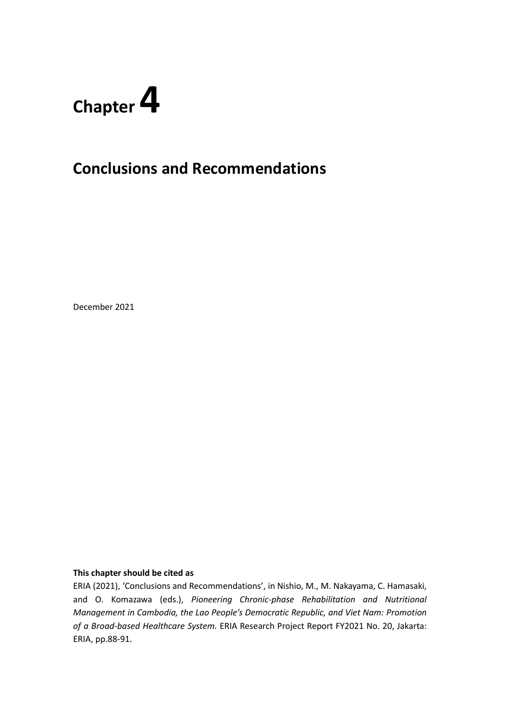# **Chapter 4**

## **Conclusions and Recommendations**

December 2021

## **This chapter should be cited as**

ERIA (2021), 'Conclusions and Recommendations', in Nishio, M., M. Nakayama, C. Hamasaki, and O. Komazawa (eds.), *Pioneering Chronic-phase Rehabilitation and Nutritional Management in Cambodia, the Lao People's Democratic Republic, and Viet Nam: Promotion of a Broad-based Healthcare System.* ERIA Research Project Report FY2021 No. 20, Jakarta: ERIA, pp.88-91.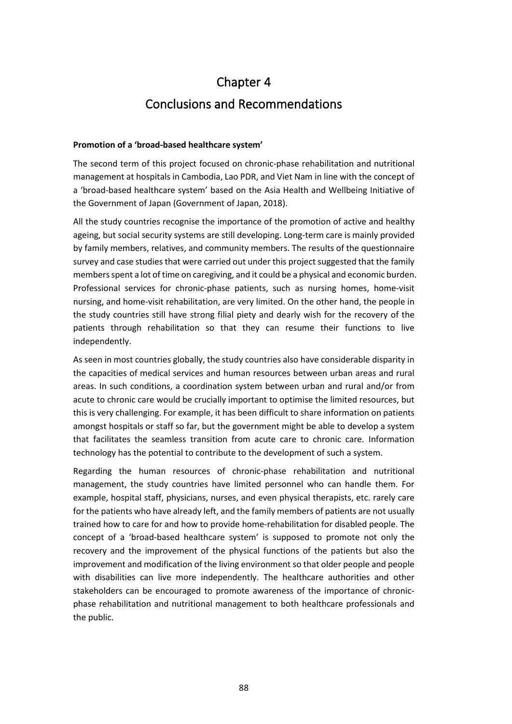# Chapter 4 Conclusions and Recommendations

### **Promotion of a 'broad-based healthcare system'**

The second term of this project focused on chronic-phase rehabilitation and nutritional management at hospitals in Cambodia, Lao PDR, and Viet Nam in line with the concept of a 'broad-based healthcare system' based on the Asia Health and Wellbeing Initiative of the Government of Japan (Government of Japan, 2018).

All the study countries recognise the importance of the promotion of active and healthy ageing, but social security systems are still developing. Long-term care is mainly provided by family members, relatives, and community members. The results of the questionnaire survey and case studies that were carried out under this project suggested that the family members spent a lot of time on caregiving, and it could be a physical and economic burden. Professional services for chronic-phase patients, such as nursing homes, home-visit nursing, and home-visit rehabilitation, are very limited. On the other hand, the people in the study countries still have strong filial piety and dearly wish for the recovery of the patients through rehabilitation so that they can resume their functions to live independently.

As seen in most countries globally, the study countries also have considerable disparity in the capacities of medical services and human resources between urban areas and rural areas. In such conditions, a coordination system between urban and rural and/or from acute to chronic care would be crucially important to optimise the limited resources, but this is very challenging. For example, it has been difficult to share information on patients amongst hospitals or staff so far, but the government might be able to develop a system that facilitates the seamless transition from acute care to chronic care. Information technology has the potential to contribute to the development of such a system.

Regarding the human resources of chronic-phase rehabilitation and nutritional management, the study countries have limited personnel who can handle them. For example, hospital staff, physicians, nurses, and even physical therapists, etc. rarely care for the patients who have already left, and the family members of patients are not usually trained how to care for and how to provide home-rehabilitation for disabled people. The concept of a 'broad-based healthcare system' is supposed to promote not only the recovery and the improvement of the physical functions of the patients but also the improvement and modification of the living environment so that older people and people with disabilities can live more independently. The healthcare authorities and other stakeholders can be encouraged to promote awareness of the importance of chronicphase rehabilitation and nutritional management to both healthcare professionals and the public.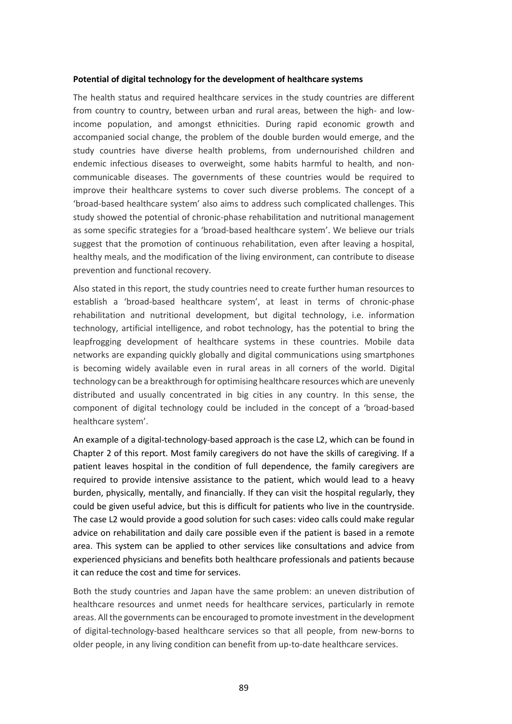#### **Potential of digital technology for the development of healthcare systems**

The health status and required healthcare services in the study countries are different from country to country, between urban and rural areas, between the high- and lowincome population, and amongst ethnicities. During rapid economic growth and accompanied social change, the problem of the double burden would emerge, and the study countries have diverse health problems, from undernourished children and endemic infectious diseases to overweight, some habits harmful to health, and noncommunicable diseases. The governments of these countries would be required to improve their healthcare systems to cover such diverse problems. The concept of a 'broad-based healthcare system' also aims to address such complicated challenges. This study showed the potential of chronic-phase rehabilitation and nutritional management as some specific strategies for a 'broad-based healthcare system'. We believe our trials suggest that the promotion of continuous rehabilitation, even after leaving a hospital, healthy meals, and the modification of the living environment, can contribute to disease prevention and functional recovery.

Also stated in this report, the study countries need to create further human resources to establish a 'broad-based healthcare system', at least in terms of chronic-phase rehabilitation and nutritional development, but digital technology, i.e. information technology, artificial intelligence, and robot technology, has the potential to bring the leapfrogging development of healthcare systems in these countries. Mobile data networks are expanding quickly globally and digital communications using smartphones is becoming widely available even in rural areas in all corners of the world. Digital technology can be a breakthrough for optimising healthcare resources which are unevenly distributed and usually concentrated in big cities in any country. In this sense, the component of digital technology could be included in the concept of a 'broad-based healthcare system'.

An example of a digital-technology-based approach is the case L2, which can be found in Chapter 2 of this report. Most family caregivers do not have the skills of caregiving. If a patient leaves hospital in the condition of full dependence, the family caregivers are required to provide intensive assistance to the patient, which would lead to a heavy burden, physically, mentally, and financially. If they can visit the hospital regularly, they could be given useful advice, but this is difficult for patients who live in the countryside. The case L2 would provide a good solution for such cases: video calls could make regular advice on rehabilitation and daily care possible even if the patient is based in a remote area. This system can be applied to other services like consultations and advice from experienced physicians and benefits both healthcare professionals and patients because it can reduce the cost and time for services.

Both the study countries and Japan have the same problem: an uneven distribution of healthcare resources and unmet needs for healthcare services, particularly in remote areas. All the governments can be encouraged to promote investment in the development of digital-technology-based healthcare services so that all people, from new-borns to older people, in any living condition can benefit from up-to-date healthcare services.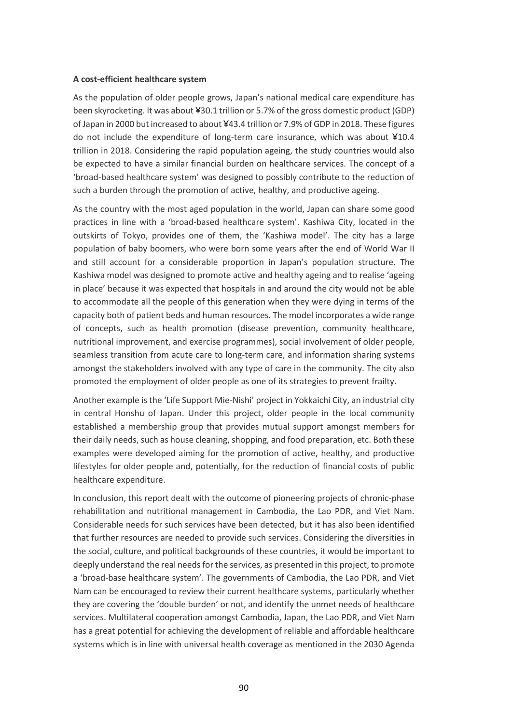#### **A cost-efficient healthcare system**

As the population of older people grows, Japan's national medical care expenditure has been skyrocketing. It was about ¥30.1 trillion or 5.7% of the gross domestic product (GDP) of Japan in 2000 but increased to about ¥43.4 trillion or 7.9% of GDP in 2018. These figures do not include the expenditure of long-term care insurance, which was about ¥10.4 trillion in 2018. Considering the rapid population ageing, the study countries would also be expected to have a similar financial burden on healthcare services. The concept of a 'broad-based healthcare system' was designed to possibly contribute to the reduction of such a burden through the promotion of active, healthy, and productive ageing.

As the country with the most aged population in the world, Japan can share some good practices in line with a 'broad-based healthcare system'. Kashiwa City, located in the outskirts of Tokyo, provides one of them, the 'Kashiwa model'. The city has a large population of baby boomers, who were born some years after the end of World War II and still account for a considerable proportion in Japan's population structure. The Kashiwa model was designed to promote active and healthy ageing and to realise 'ageing in place' because it was expected that hospitals in and around the city would not be able to accommodate all the people of this generation when they were dying in terms of the capacity both of patient beds and human resources. The model incorporates a wide range of concepts, such as health promotion (disease prevention, community healthcare, nutritional improvement, and exercise programmes), social involvement of older people, seamless transition from acute care to long-term care, and information sharing systems amongst the stakeholders involved with any type of care in the community. The city also promoted the employment of older people as one of its strategies to prevent frailty.

Another example is the 'Life Support Mie-Nishi' project in Yokkaichi City, an industrial city in central Honshu of Japan. Under this project, older people in the local community established a membership group that provides mutual support amongst members for their daily needs, such as house cleaning, shopping, and food preparation, etc. Both these examples were developed aiming for the promotion of active, healthy, and productive lifestyles for older people and, potentially, for the reduction of financial costs of public healthcare expenditure.

In conclusion, this report dealt with the outcome of pioneering projects of chronic-phase rehabilitation and nutritional management in Cambodia, the Lao PDR, and Viet Nam. Considerable needs for such services have been detected, but it has also been identified that further resources are needed to provide such services. Considering the diversities in the social, culture, and political backgrounds of these countries, it would be important to deeply understand the real needs for the services, as presented in this project, to promote a 'broad-base healthcare system'. The governments of Cambodia, the Lao PDR, and Viet Nam can be encouraged to review their current healthcare systems, particularly whether they are covering the 'double burden' or not, and identify the unmet needs of healthcare services. Multilateral cooperation amongst Cambodia, Japan, the Lao PDR, and Viet Nam has a great potential for achieving the development of reliable and affordable healthcare systems which is in line with universal health coverage as mentioned in the 2030 Agenda